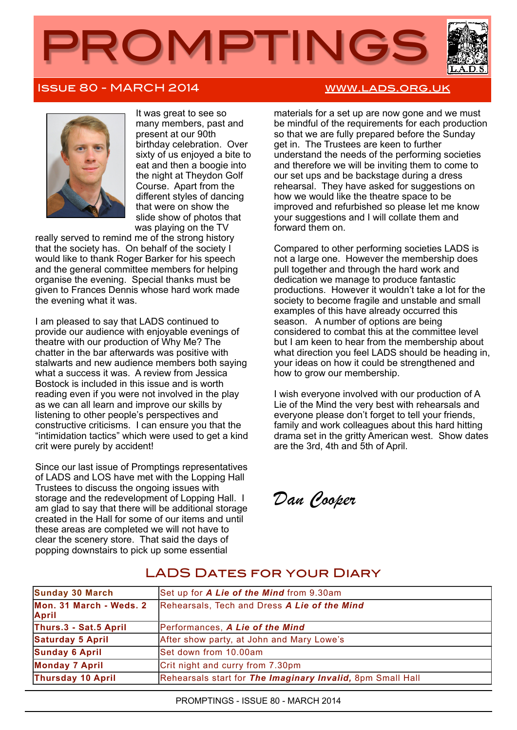

## Issue 80 - MARCH 2014 [www.lads.org.uk](http://www.lads.org.uk)



It was great to see so many members, past and present at our 90th birthday celebration. Over sixty of us enjoyed a bite to eat and then a boogie into the night at Theydon Golf Course. Apart from the different styles of dancing that were on show the slide show of photos that was playing on the TV

really served to remind me of the strong history that the society has. On behalf of the society I would like to thank Roger Barker for his speech and the general committee members for helping organise the evening. Special thanks must be given to Frances Dennis whose hard work made the evening what it was.

I am pleased to say that LADS continued to provide our audience with enjoyable evenings of theatre with our production of Why Me? The chatter in the bar afterwards was positive with stalwarts and new audience members both saying what a success it was. A review from Jessica Bostock is included in this issue and is worth reading even if you were not involved in the play as we can all learn and improve our skills by listening to other people's perspectives and constructive criticisms. I can ensure you that the "intimidation tactics" which were used to get a kind crit were purely by accident!

Since our last issue of Promptings representatives of LADS and LOS have met with the Lopping Hall Trustees to discuss the ongoing issues with storage and the redevelopment of Lopping Hall. I am glad to say that there will be additional storage created in the Hall for some of our items and until these areas are completed we will not have to clear the scenery store. That said the days of popping downstairs to pick up some essential

materials for a set up are now gone and we must be mindful of the requirements for each production so that we are fully prepared before the Sunday get in. The Trustees are keen to further understand the needs of the performing societies and therefore we will be inviting them to come to our set ups and be backstage during a dress rehearsal. They have asked for suggestions on how we would like the theatre space to be improved and refurbished so please let me know your suggestions and I will collate them and forward them on.

Compared to other performing societies LADS is not a large one. However the membership does pull together and through the hard work and dedication we manage to produce fantastic productions. However it wouldn't take a lot for the society to become fragile and unstable and small examples of this have already occurred this season. A number of options are being considered to combat this at the committee level but I am keen to hear from the membership about what direction you feel LADS should be heading in, your ideas on how it could be strengthened and how to grow our membership.

I wish everyone involved with our production of A Lie of the Mind the very best with rehearsals and everyone please don't forget to tell your friends, family and work colleagues about this hard hitting drama set in the gritty American west. Show dates are the 3rd, 4th and 5th of April.

*Dan Cooper*

# LADS DATES FOR YOUR DIARY

| Sunday 30 March                         | Set up for A Lie of the Mind from 9.30am                   |
|-----------------------------------------|------------------------------------------------------------|
| Mon. 31 March - Weds. 2<br><b>April</b> | Rehearsals, Tech and Dress A Lie of the Mind               |
| Thurs.3 - Sat.5 April                   | Performances, A Lie of the Mind                            |
| <b>Saturday 5 April</b>                 | After show party, at John and Mary Lowe's                  |
| <b>Sunday 6 April</b>                   | Set down from 10.00am                                      |
| <b>Monday 7 April</b>                   | Crit night and curry from 7.30pm                           |
| Thursday 10 April                       | Rehearsals start for The Imaginary Invalid, 8pm Small Hall |

PROMPTINGS - ISSUE 80 - MARCH 2014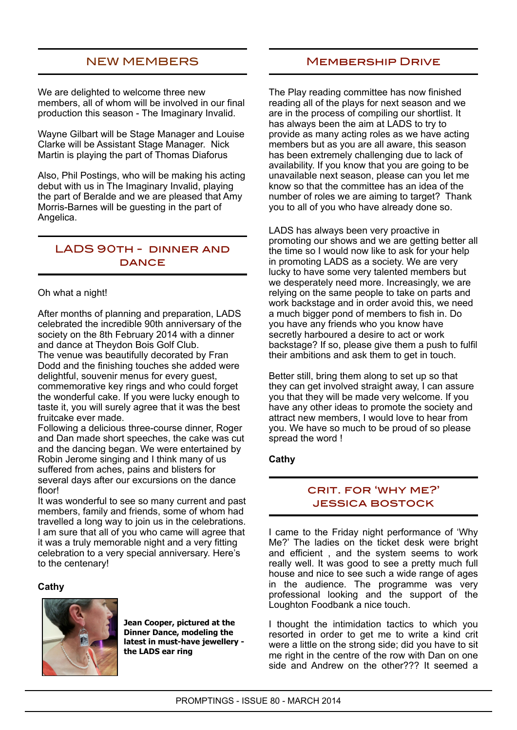### NEW MEMBERS

We are delighted to welcome three new members, all of whom will be involved in our final production this season - The Imaginary Invalid.

Wayne Gilbart will be Stage Manager and Louise Clarke will be Assistant Stage Manager. Nick Martin is playing the part of Thomas Diaforus

Also, Phil Postings, who will be making his acting debut with us in The Imaginary Invalid, playing the part of Beralde and we are pleased that Amy Morris-Barnes will be guesting in the part of Angelica.

### LADS 90th - dinner and **DANCE**

### Oh what a night!

After months of planning and preparation, LADS celebrated the incredible 90th anniversary of the society on the 8th February 2014 with a dinner and dance at Theydon Bois Golf Club. The venue was beautifully decorated by Fran Dodd and the finishing touches she added were delightful, souvenir menus for every guest, commemorative key rings and who could forget the wonderful cake. If you were lucky enough to taste it, you will surely agree that it was the best fruitcake ever made.

Following a delicious three-course dinner, Roger and Dan made short speeches, the cake was cut and the dancing began. We were entertained by Robin Jerome singing and I think many of us suffered from aches, pains and blisters for several days after our excursions on the dance floor!

It was wonderful to see so many current and past members, family and friends, some of whom had travelled a long way to join us in the celebrations. I am sure that all of you who came will agree that it was a truly memorable night and a very fitting celebration to a very special anniversary. Here's to the centenary!

### **Cathy**



**Jean Cooper, pictured at the Dinner Dance, modeling the latest in must-have jewellery the LADS ear ring**

### Membership Drive

The Play reading committee has now finished reading all of the plays for next season and we are in the process of compiling our shortlist. It has always been the aim at LADS to try to provide as many acting roles as we have acting members but as you are all aware, this season has been extremely challenging due to lack of availability. If you know that you are going to be unavailable next season, please can you let me know so that the committee has an idea of the number of roles we are aiming to target? Thank you to all of you who have already done so.

LADS has always been very proactive in promoting our shows and we are getting better all the time so I would now like to ask for your help in promoting LADS as a society. We are very lucky to have some very talented members but we desperately need more. Increasingly, we are relying on the same people to take on parts and work backstage and in order avoid this, we need a much bigger pond of members to fish in. Do you have any friends who you know have secretly harboured a desire to act or work backstage? If so, please give them a push to fulfil their ambitions and ask them to get in touch.

Better still, bring them along to set up so that they can get involved straight away, I can assure you that they will be made very welcome. If you have any other ideas to promote the society and attract new members, I would love to hear from you. We have so much to be proud of so please spread the word !

### **Cathy**

### crit. for 'why me?' **JESSICA BOSTOCK**

I came to the Friday night performance of 'Why Me?' The ladies on the ticket desk were bright and efficient , and the system seems to work really well. It was good to see a pretty much full house and nice to see such a wide range of ages in the audience. The programme was very professional looking and the support of the Loughton Foodbank a nice touch.

I thought the intimidation tactics to which you resorted in order to get me to write a kind crit were a little on the strong side; did you have to sit me right in the centre of the row with Dan on one side and Andrew on the other??? It seemed a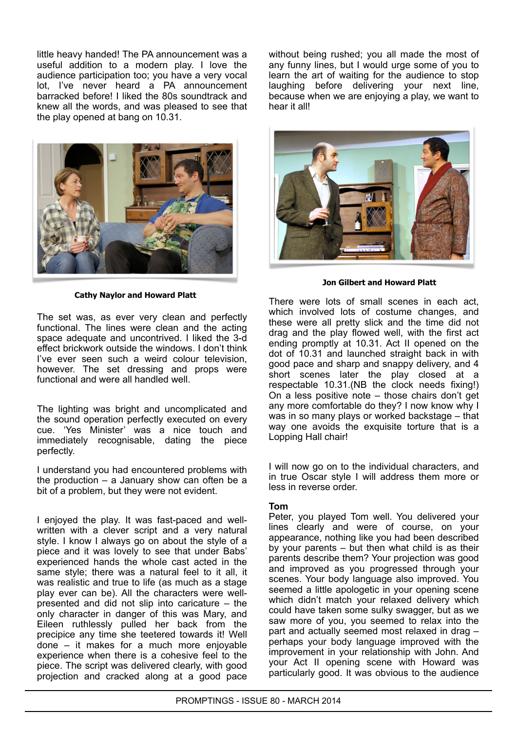little heavy handed! The PA announcement was a useful addition to a modern play. I love the audience participation too; you have a very vocal lot, I've never heard a PA announcement barracked before! I liked the 80s soundtrack and knew all the words, and was pleased to see that the play opened at bang on 10.31.



**Cathy Naylor and Howard Platt**

The set was, as ever very clean and perfectly functional. The lines were clean and the acting space adequate and uncontrived. I liked the 3-d effect brickwork outside the windows. I don't think I've ever seen such a weird colour television, however. The set dressing and props were functional and were all handled well.

The lighting was bright and uncomplicated and the sound operation perfectly executed on every cue. 'Yes Minister' was a nice touch and immediately recognisable, dating the piece perfectly.

I understand you had encountered problems with the production – a January show can often be a bit of a problem, but they were not evident.

I enjoyed the play. It was fast-paced and wellwritten with a clever script and a very natural style. I know I always go on about the style of a piece and it was lovely to see that under Babs' experienced hands the whole cast acted in the same style; there was a natural feel to it all. it was realistic and true to life (as much as a stage play ever can be). All the characters were wellpresented and did not slip into caricature – the only character in danger of this was Mary, and Eileen ruthlessly pulled her back from the precipice any time she teetered towards it! Well done – it makes for a much more enjoyable experience when there is a cohesive feel to the piece. The script was delivered clearly, with good projection and cracked along at a good pace

without being rushed; you all made the most of any funny lines, but I would urge some of you to learn the art of waiting for the audience to stop laughing before delivering your next line, because when we are enjoying a play, we want to hear it all!



**Jon Gilbert and Howard Platt**

There were lots of small scenes in each act, which involved lots of costume changes, and these were all pretty slick and the time did not drag and the play flowed well, with the first act ending promptly at 10.31. Act II opened on the dot of 10.31 and launched straight back in with good pace and sharp and snappy delivery, and 4 short scenes later the play closed at a respectable 10.31.(NB the clock needs fixing!) On a less positive note – those chairs don't get any more comfortable do they? I now know why I was in so many plays or worked backstage – that way one avoids the exquisite torture that is a Lopping Hall chair!

I will now go on to the individual characters, and in true Oscar style I will address them more or less in reverse order.

### **Tom**

Peter, you played Tom well. You delivered your lines clearly and were of course, on your appearance, nothing like you had been described by your parents – but then what child is as their parents describe them? Your projection was good and improved as you progressed through your scenes. Your body language also improved. You seemed a little apologetic in your opening scene which didn't match your relaxed delivery which could have taken some sulky swagger, but as we saw more of you, you seemed to relax into the part and actually seemed most relaxed in drag – perhaps your body language improved with the improvement in your relationship with John. And your Act II opening scene with Howard was particularly good. It was obvious to the audience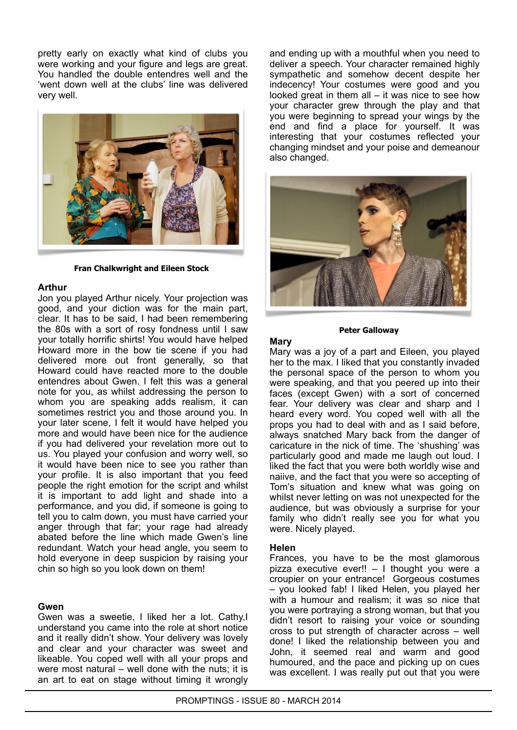pretty early on exactly what kind of clubs you were working and your figure and legs are great. You handled the double entendres well and the 'went down well at the clubs' line was delivered very well.



#### **Fran Chalkwright and Eileen Stock**

#### **Arthur**

Jon you played Arthur nicely. Your projection was good, and your diction was for the main part, clear. It has to be said, I had been remembering the 80s with a sort of rosy fondness until I saw your totally horrific shirts! You would have helped Howard more in the bow tie scene if you had delivered more out front generally, so that Howard could have reacted more to the double entendres about Gwen. I felt this was a general note for you, as whilst addressing the person to whom you are speaking adds realism, it can sometimes restrict you and those around you. In your later scene, I felt it would have helped you more and would have been nice for the audience if you had delivered your revelation more out to us. You played your confusion and worry well, so it would have been nice to see you rather than your profile. It is also important that you feed people the right emotion for the script and whilst it is important to add light and shade into a performance, and you did, if someone is going to tell you to calm down, you must have carried your anger through that far; your rage had already abated before the line which made Gwen's line redundant. Watch your head angle, you seem to hold everyone in deep suspicion by raising your chin so high so you look down on them!

#### **Gwen**

Gwen was a sweetie, I liked her a lot. Cathy,I understand you came into the role at short notice and it really didn't show. Your delivery was lovely and clear and your character was sweet and likeable. You coped well with all your props and were most natural – well done with the nuts; it is an art to eat on stage without timing it wrongly

and ending up with a mouthful when you need to deliver a speech. Your character remained highly sympathetic and somehow decent despite her indecency! Your costumes were good and you looked great in them all – it was nice to see how your character grew through the play and that you were beginning to spread your wings by the end and find a place for yourself. It was interesting that your costumes reflected your changing mindset and your poise and demeanour also changed.



#### **Peter Galloway**

#### **Mary**

Mary was a joy of a part and Eileen, you played her to the max. I liked that you constantly invaded the personal space of the person to whom you were speaking, and that you peered up into their faces (except Gwen) with a sort of concerned fear. Your delivery was clear and sharp and I heard every word. You coped well with all the props you had to deal with and as I said before, always snatched Mary back from the danger of caricature in the nick of time. The 'shushing' was particularly good and made me laugh out loud. I liked the fact that you were both worldly wise and naiive, and the fact that you were so accepting of Tom's situation and knew what was going on whilst never letting on was not unexpected for the audience, but was obviously a surprise for your family who didn't really see you for what you were. Nicely played.

#### **Helen**

Frances, you have to be the most glamorous pizza executive ever!! – I thought you were a croupier on your entrance! Gorgeous costumes – you looked fab! I liked Helen, you played her with a humour and realism; it was so nice that you were portraying a strong woman, but that you didn't resort to raising your voice or sounding cross to put strength of character across – well done! I liked the relationship between you and John, it seemed real and warm and good humoured, and the pace and picking up on cues was excellent. I was really put out that you were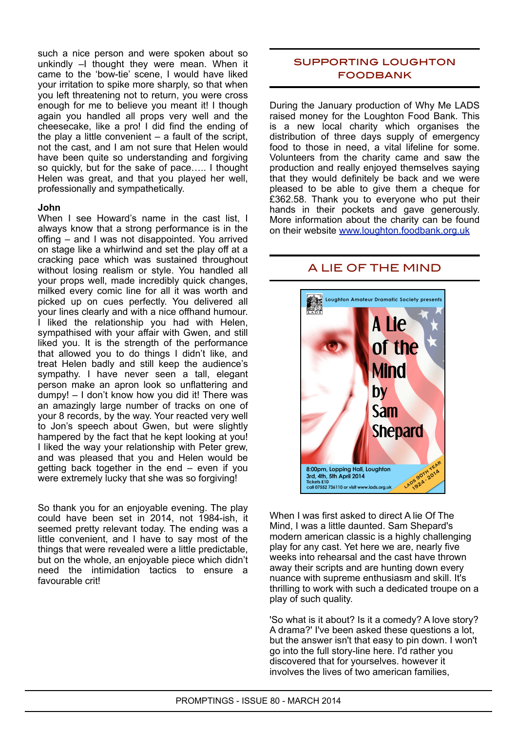such a nice person and were spoken about so unkindly –I thought they were mean. When it came to the 'bow-tie' scene, I would have liked your irritation to spike more sharply, so that when you left threatening not to return, you were cross enough for me to believe you meant it! I though again you handled all props very well and the cheesecake, like a pro! I did find the ending of the play a little convenient  $-$  a fault of the script, not the cast, and I am not sure that Helen would have been quite so understanding and forgiving so quickly, but for the sake of pace….. I thought Helen was great, and that you played her well, professionally and sympathetically.

#### **John**

When I see Howard's name in the cast list. I always know that a strong performance is in the offing – and I was not disappointed. You arrived on stage like a whirlwind and set the play off at a cracking pace which was sustained throughout without losing realism or style. You handled all your props well, made incredibly quick changes, milked every comic line for all it was worth and picked up on cues perfectly. You delivered all your lines clearly and with a nice offhand humour. I liked the relationship you had with Helen, sympathised with your affair with Gwen, and still liked you. It is the strength of the performance that allowed you to do things I didn't like, and treat Helen badly and still keep the audience's sympathy. I have never seen a tall, elegant person make an apron look so unflattering and dumpy! – I don't know how you did it! There was an amazingly large number of tracks on one of your 8 records, by the way. Your reacted very well to Jon's speech about Gwen, but were slightly hampered by the fact that he kept looking at you! I liked the way your relationship with Peter grew, and was pleased that you and Helen would be getting back together in the end – even if you were extremely lucky that she was so forgiving!

So thank you for an enjoyable evening. The play could have been set in 2014, not 1984-ish, it seemed pretty relevant today. The ending was a little convenient, and I have to say most of the things that were revealed were a little predictable, but on the whole, an enjoyable piece which didn't need the intimidation tactics to ensure a favourable crit!

### supporting loughton **FOODBANK**

During the January production of Why Me LADS raised money for the Loughton Food Bank. This is a new local charity which organises the distribution of three days supply of emergency food to those in need, a vital lifeline for some. Volunteers from the charity came and saw the production and really enjoyed themselves saying that they would definitely be back and we were pleased to be able to give them a cheque for £362.58. Thank you to everyone who put their hands in their pockets and gave generously. More information about the charity can be found on their website [www.loughton.foodbank.org.uk](http://www.loughton.foodbank.org.uk/)

### A LIE OF THE MIND



When I was first asked to direct A lie Of The Mind, I was a little daunted. Sam Shepard's modern american classic is a highly challenging play for any cast. Yet here we are, nearly five weeks into rehearsal and the cast have thrown away their scripts and are hunting down every nuance with supreme enthusiasm and skill. It's thrilling to work with such a dedicated troupe on a play of such quality.

'So what is it about? Is it a comedy? A love story? A drama?' I've been asked these questions a lot, but the answer isn't that easy to pin down. I won't go into the full story-line here. I'd rather you discovered that for yourselves. however it involves the lives of two american families,